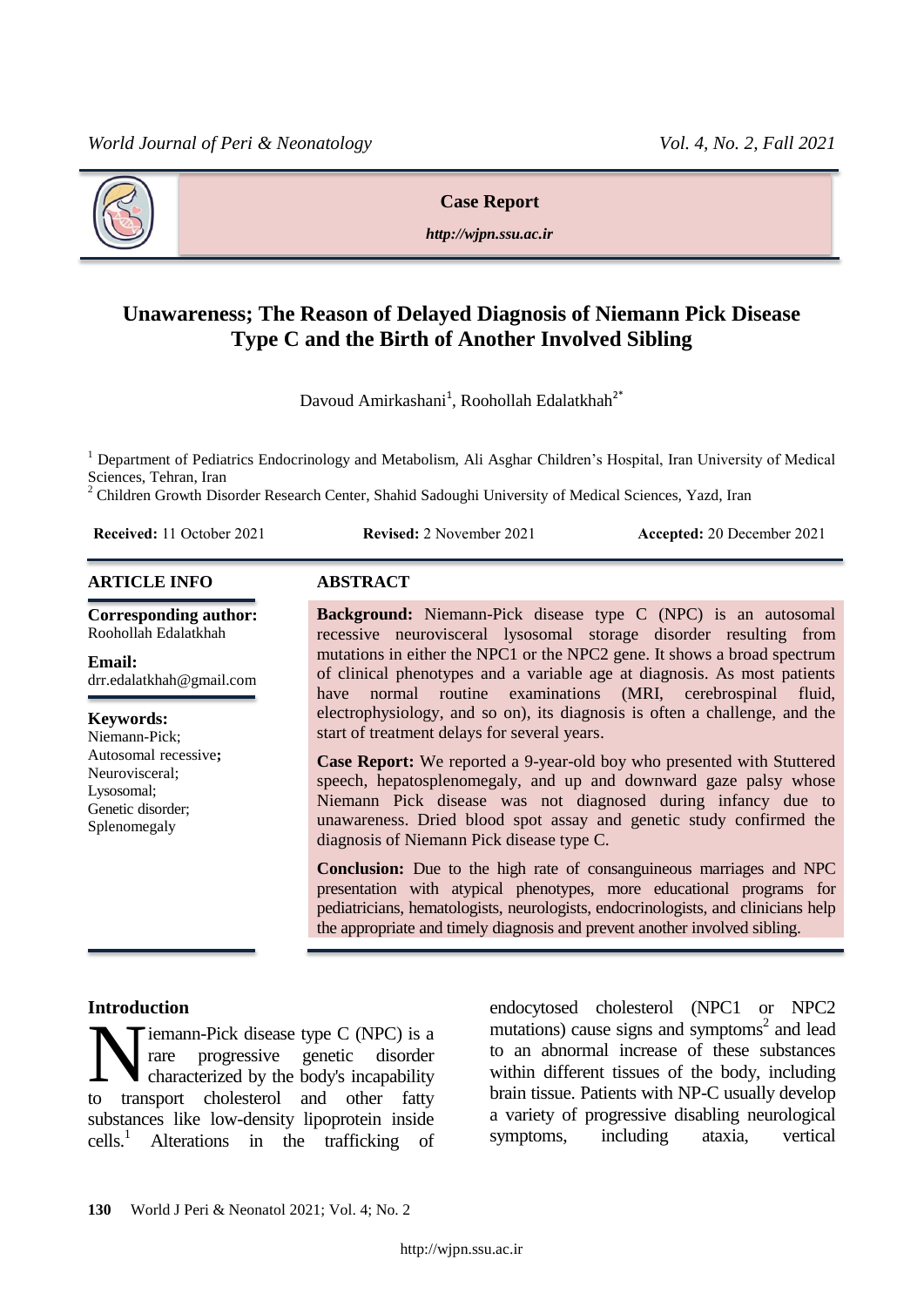

## **Case Report**

*http://wjpn.ssu.ac.ir*

# **Unawareness; The Reason of Delayed Diagnosis of Niemann Pick Disease Type C and the Birth of Another Involved Sibling**

Davoud Amirkashani<sup>1</sup>, Roohollah Edalatkhah<sup>2\*</sup>

<sup>1</sup> Department of Pediatrics Endocrinology and Metabolism, Ali Asghar Children's Hospital, Iran University of Medical Sciences, Tehran, Iran

<sup>2</sup> Children Growth Disorder Research Center, Shahid Sadoughi University of Medical Sciences, Yazd, Iran

| <b>Received:</b> 11 October 2021 |  |  |  |
|----------------------------------|--|--|--|
|----------------------------------|--|--|--|

**Revised:** 2 November 2021 **Accepted:** 20 December 2021

### **ARTICLE INFO ABSTRACT**

**Corresponding author:** Roohollah Edalatkhah

#### **Email:**

drr.edalatkhah@gmail.com

#### **Keywords:**

Niemann-Pick; Autosomal recessive**;** Neurovisceral; Lysosomal; Genetic disorder; Splenomegaly

**Background:** Niemann-Pick disease type C (NPC) is an autosomal recessive neurovisceral lysosomal storage disorder resulting from mutations in either the NPC1 or the NPC2 gene. It shows a broad spectrum of clinical phenotypes and a variable age at diagnosis. As most patients have normal routine examinations (MRI, cerebrospinal fluid, electrophysiology, and so on), its diagnosis is often a challenge, and the start of treatment delays for several years.

**Case Report:** We reported a 9-year-old boy who presented with Stuttered speech, hepatosplenomegaly, and up and downward gaze palsy whose Niemann Pick disease was not diagnosed during infancy due to unawareness. Dried blood spot assay and genetic study confirmed the diagnosis of Niemann Pick disease type C.

**Conclusion:** Due to the high rate of consanguineous marriages and NPC presentation with atypical phenotypes, more educational programs for pediatricians, hematologists, neurologists, endocrinologists, and clinicians help the appropriate and timely diagnosis and prevent another involved sibling.

## **Introduction**

iemann-Pick disease type C (NPC) is a rare progressive genetic disorder characterized by the body's incapability **Example 19 Exercise** C (NPC) is a progressive genetic disorder characterized by the body's incapability transport cholesterol and other fatty substances like low-density lipoprotein inside cells. <sup>1</sup> Alterations in the trafficking of endocytosed cholesterol (NPC1 or NPC2 mutations) cause signs and symptoms $2$  and lead to an abnormal increase of these substances within different tissues of the body, including brain tissue. Patients with NP-C usually develop a variety of progressive disabling neurological symptoms, including ataxia, vertical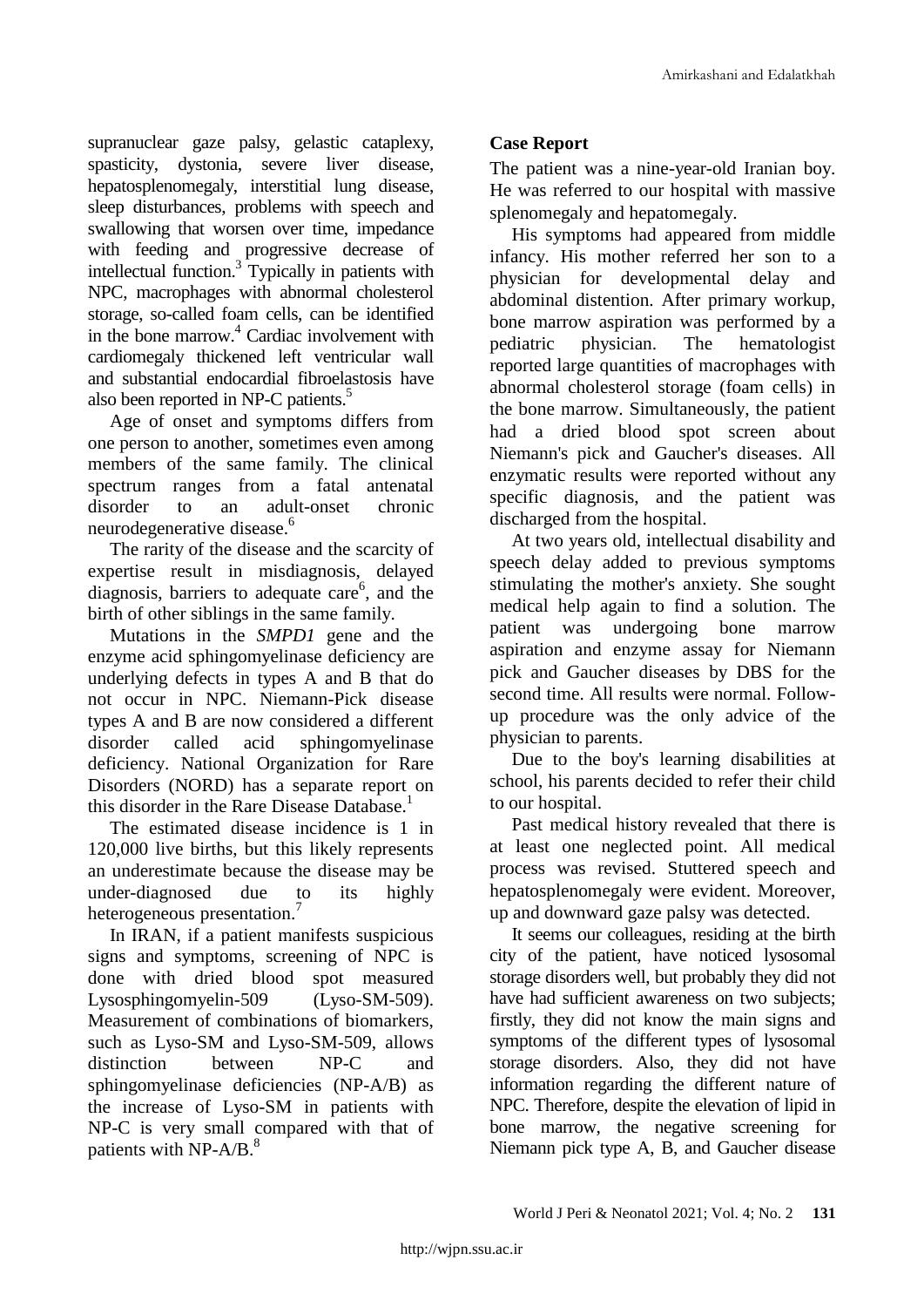supranuclear gaze palsy, gelastic cataplexy, spasticity, dystonia, severe liver disease, hepatosplenomegaly, interstitial lung disease, sleep disturbances, problems with speech and swallowing that worsen over time, impedance with feeding and progressive decrease of intellectual function.<sup>3</sup> Typically in patients with NPC, macrophages with abnormal cholesterol storage, so-called foam cells, can be identified in the bone marrow. <sup>4</sup> Cardiac involvement with cardiomegaly thickened left ventricular wall and substantial endocardial fibroelastosis have also been reported in NP-C patients. 5

Age of onset and symptoms differs from one person to another, sometimes even among members of the same family. The clinical spectrum ranges from a fatal antenatal disorder to an adult-onset chronic neurodegenerative disease. 6

The rarity of the disease and the scarcity of expertise result in misdiagnosis, delayed diagnosis, barriers to adequate care<sup>6</sup>, and the birth of other siblings in the same family.

Mutations in the *SMPD1* gene and the enzyme acid sphingomyelinase deficiency are underlying defects in types A and B that do not occur in NPC. Niemann-Pick disease types A and B are now considered a different disorder called acid sphingomyelinase deficiency. National Organization for Rare Disorders (NORD) has a separate report on this disorder in the Rare Disease Database. 1

The estimated disease incidence is 1 in 120,000 live births, but this likely represents an underestimate because the disease may be under-diagnosed due to its highly heterogeneous presentation.<sup>7</sup>

In IRAN, if a patient manifests suspicious signs and symptoms, screening of NPC is done with dried blood spot measured Lysosphingomyelin-509 (Lyso-SM-509). Measurement of combinations of biomarkers, such as Lyso-SM and Lyso-SM-509, allows distinction between NP-C and sphingomyelinase deficiencies (NP-A/B) as the increase of Lyso-SM in patients with NP-C is very small compared with that of patients with NP-A/B.<sup>8</sup>

# **Case Report**

The patient was a nine-year-old Iranian boy. He was referred to our hospital with massive splenomegaly and hepatomegaly.

His symptoms had appeared from middle infancy. His mother referred her son to a physician for developmental delay and abdominal distention. After primary workup, bone marrow aspiration was performed by a pediatric physician. The hematologist reported large quantities of macrophages with abnormal cholesterol storage (foam cells) in the bone marrow. Simultaneously, the patient had a dried blood spot screen about Niemann's pick and Gaucher's diseases. All enzymatic results were reported without any specific diagnosis, and the patient was discharged from the hospital.

At two years old, intellectual disability and speech delay added to previous symptoms stimulating the mother's anxiety. She sought medical help again to find a solution. The patient was undergoing bone marrow aspiration and enzyme assay for Niemann pick and Gaucher diseases by DBS for the second time. All results were normal. Followup procedure was the only advice of the physician to parents.

Due to the boy's learning disabilities at school, his parents decided to refer their child to our hospital.

Past medical history revealed that there is at least one neglected point. All medical process was revised. Stuttered speech and hepatosplenomegaly were evident. Moreover, up and downward gaze palsy was detected.

It seems our colleagues, residing at the birth city of the patient, have noticed lysosomal storage disorders well, but probably they did not have had sufficient awareness on two subjects; firstly, they did not know the main signs and symptoms of the different types of lysosomal storage disorders. Also, they did not have information regarding the different nature of NPC. Therefore, despite the elevation of lipid in bone marrow, the negative screening for Niemann pick type A, B, and Gaucher disease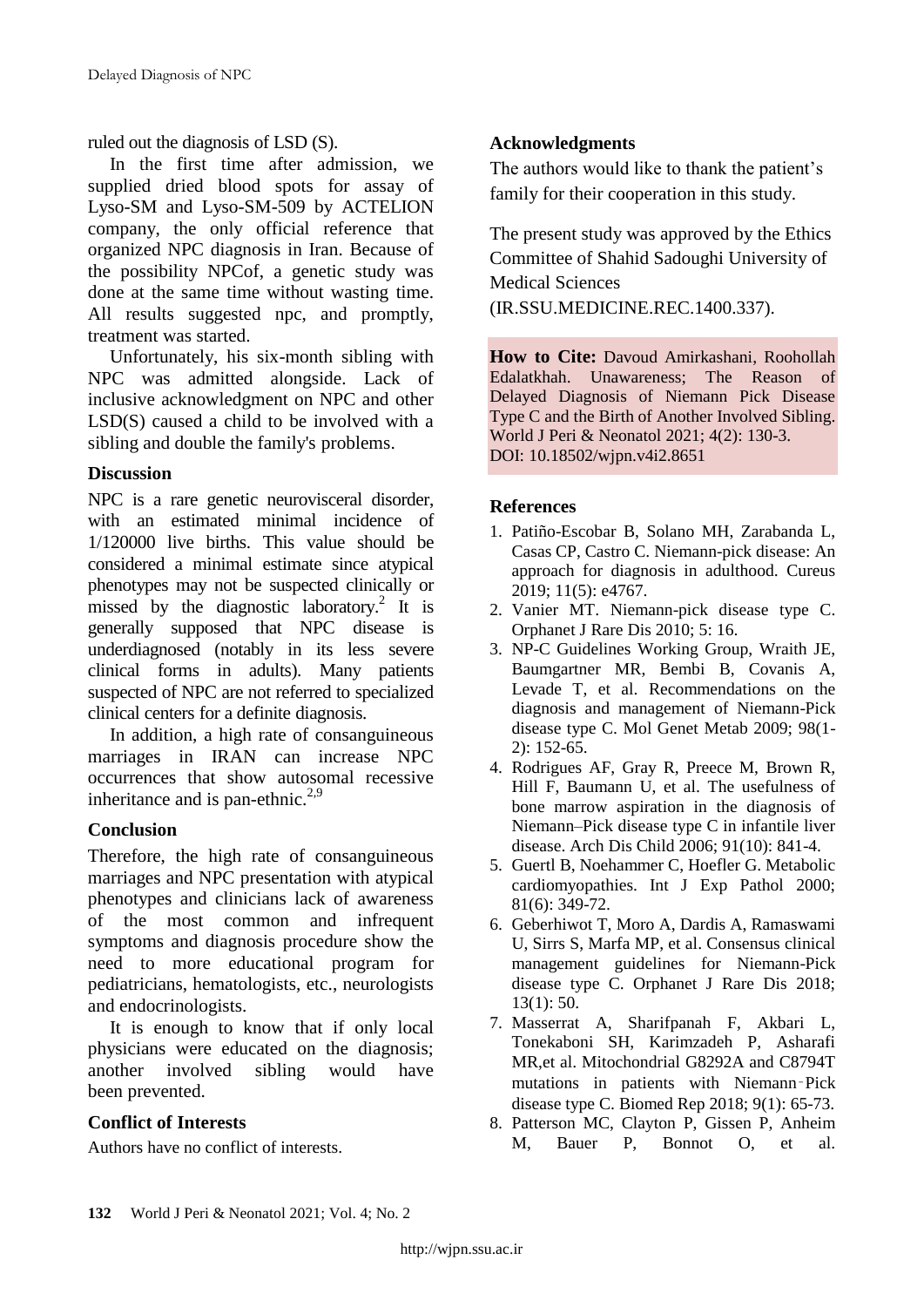ruled out the diagnosis of LSD (S).

In the first time after admission, we supplied dried blood spots for assay of Lyso-SM and Lyso-SM-509 by ACTELION company, the only official reference that organized NPC diagnosis in Iran. Because of the possibility NPCof, a genetic study was done at the same time without wasting time. All results suggested npc, and promptly, treatment was started.

Unfortunately, his six-month sibling with NPC was admitted alongside. Lack of inclusive acknowledgment on NPC and other LSD(S) caused a child to be involved with a sibling and double the family's problems.

# **Discussion**

NPC is a rare genetic neurovisceral disorder, with an estimated minimal incidence of 1/120000 live births. This value should be considered a minimal estimate since atypical phenotypes may not be suspected clinically or missed by the diagnostic laboratory.<sup>2</sup> It is generally supposed that NPC disease is underdiagnosed (notably in its less severe clinical forms in adults). Many patients suspected of NPC are not referred to specialized clinical centers for a definite diagnosis.

In addition, a high rate of consanguineous marriages in IRAN can increase NPC occurrences that show autosomal recessive inheritance and is pan-ethnic.<sup>2,9</sup>

# **Conclusion**

Therefore, the high rate of consanguineous marriages and NPC presentation with atypical phenotypes and clinicians lack of awareness of the most common and infrequent symptoms and diagnosis procedure show the need to more educational program for pediatricians, hematologists, etc., neurologists and endocrinologists.

It is enough to know that if only local physicians were educated on the diagnosis; another involved sibling would have been prevented.

## **Conflict of Interests**

Authors have no conflict of interests.

# **Acknowledgments**

The authors would like to thank the patient's family for their cooperation in this study.

The present study was approved by the Ethics Committee of Shahid Sadoughi University of Medical Sciences

(IR.SSU.MEDICINE.REC.1400.337).

**How to Cite:** Davoud Amirkashani, Roohollah Edalatkhah. Unawareness; The Reason of Delayed Diagnosis of Niemann Pick Disease Type C and the Birth of Another Involved Sibling. World J Peri & Neonatol 2021; 4(2): 130-3. DOI: 10.18502/wjpn.v4i2.8651

## **References**

- 1. Patiño-Escobar B, Solano MH, Zarabanda L, Casas CP, Castro C. Niemann-pick disease: An approach for diagnosis in adulthood. Cureus 2019; 11(5): e4767.
- 2. Vanier MT. Niemann-pick disease type C. Orphanet J Rare Dis 2010; 5: 16.
- 3. NP-C Guidelines Working Group, Wraith JE, Baumgartner MR, Bembi B, Covanis A, Levade T, et al. Recommendations on the diagnosis and management of Niemann-Pick disease type C. Mol Genet Metab 2009; 98(1- 2): 152-65.
- 4. Rodrigues AF, Gray R, Preece M, Brown R, Hill F, Baumann U, et al. The usefulness of bone marrow aspiration in the diagnosis of Niemann–Pick disease type C in infantile liver disease. Arch Dis Child 2006; 91(10): 841-4.
- 5. Guertl B, Noehammer C, Hoefler G. Metabolic cardiomyopathies. Int J Exp Pathol 2000; 81(6): 349-72.
- 6. Geberhiwot T, Moro A, Dardis A, Ramaswami U, Sirrs S, Marfa MP, et al. Consensus clinical management guidelines for Niemann-Pick disease type C. Orphanet J Rare Dis 2018; 13(1): 50.
- 7. Masserrat A, Sharifpanah F, Akbari L, Tonekaboni SH, Karimzadeh P, Asharafi MR,et al. Mitochondrial G8292A and C8794T mutations in patients with Niemann‑Pick disease type C. Biomed Rep 2018; 9(1): 65-73.
- 8. Patterson MC, Clayton P, Gissen P, Anheim M, Bauer P, Bonnot O, et al.